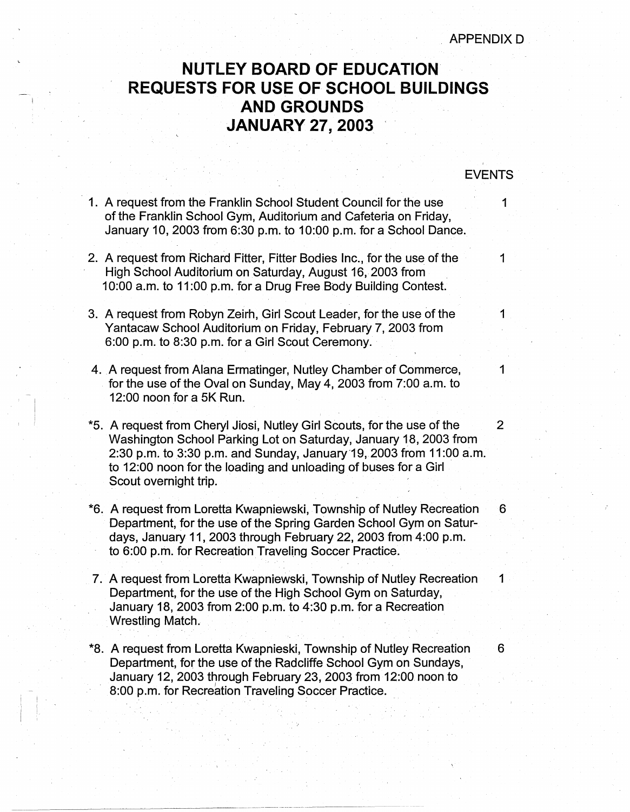## **NUTLEY BOARD OF EDUCATION REQUESTS FOR USE OF SCHOOL BUILDINGS AND GROUNDS JANUARY 27, 2003** ·

. .

## EVENTS

- 1. A request from the Franklin School Student Council for the use 1 of the Franklin School Gym, Auditorium and Cafeteria on Friday, January 10, 2003 from 6:30 p.m. to 10:00 p.m. for a School Dance.
- 2. A request from Richard Fitter, Fitter Bodies Inc., for the use of the 1 High School Auditorium on Saturday, August 16, 2003 from 10:00 a.m. to 11 :00 p.m. for a Drug Free Body Building Contest.
- 3. A request from Robyn Zeirh, Girl Scout Leader, for the use of the 1 Yantacaw School Auditorium on Friday, February 7, 2003 from 6:00 p.m. to 8:30 p.m. for a Girl Scout Ceremony.
- 4. A request from Alana Ermatinger, Nutley Chamber of Commerce,  $1$ . for the use of the Oval on Sunday, May 4, 2003 from 7:00 a.m. to 12:00 noon for a 5K Run.

~ ,  $\mathbf{I}$ I I

- \*5. A request from Cheryl Jiosi, Nutley Girl Scouts, for the use of the 2 Washington School Parking Lot on Saturday, January 18, 2003 from 2:30 p.m. to 3:30 p.m. and Sunday, January 19, 2003 from 11:00 a.m. to 12:00 noon for the loading and unloading of buses for a Girl Scout overnight trip.
- \*6. A request from Loretta Kwapniewski, Township of Nutley Recreation 6 Department, for the use of the Spring Garden School Gym on Saturdays, January 11, 2003 through February 22, 2003 from4:00 p.m. to 6:00 p.m. for Recreation Traveling Soccer Practice.
- 7. A request from Loretta Kwapniewski, Township of Nutley Recreation 1 Department, for the use of the High School Gym on Saturday, January 18, 2003 from 2:00 p.m. to 4:30 p.m. for a Recreation . Wrestling Match.
- \*8. A request from Loretta Kwapnieski, Township of Nutley Recreation 6 Department, for the use of the Radcliffe School Gym on Sundays, January 12, 2003 through February 23, 2003 from 12:00 noon to 8:00 p.m. for Recreation Traveling Soccer Practice.